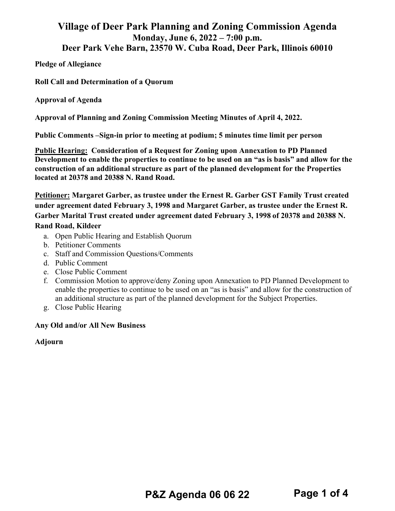# **Village of Deer Park Planning and Zoning Commission Agenda Monday, June 6, 2022 – 7:00 p.m. Deer Park Vehe Barn, 23570 W. Cuba Road, Deer Park, Illinois 60010**

**Pledge of Allegiance**

# **Roll Call and Determination of a Quorum**

**Approval of Agenda**

**Approval of Planning and Zoning Commission Meeting Minutes of April 4, 2022.** 

**Public Comments –Sign-in prior to meeting at podium; 5 minutes time limit per person**

**Public Hearing: Consideration of a Request for Zoning upon Annexation to PD Planned Development to enable the properties to continue to be used on an "as is basis" and allow for the construction of an additional structure as part of the planned development for the Properties located at 20378 and 20388 N. Rand Road.** 

**Petitioner: Margaret Garber, as trustee under the Ernest R. Garber GST Family Trust created under agreement dated February 3, 1998 and Margaret Garber, as trustee under the Ernest R. Garber Marital Trust created under agreement dated February 3, 1998 of 20378 and 20388 N. Rand Road, Kildeer**

- a. Open Public Hearing and Establish Quorum
- b. Petitioner Comments
- c. Staff and Commission Questions/Comments
- d. Public Comment
- e. Close Public Comment
- f. Commission Motion to approve/deny Zoning upon Annexation to PD Planned Development to enable the properties to continue to be used on an "as is basis" and allow for the construction of an additional structure as part of the planned development for the Subject Properties.
- g. Close Public Hearing

## **Any Old and/or All New Business**

**Adjourn**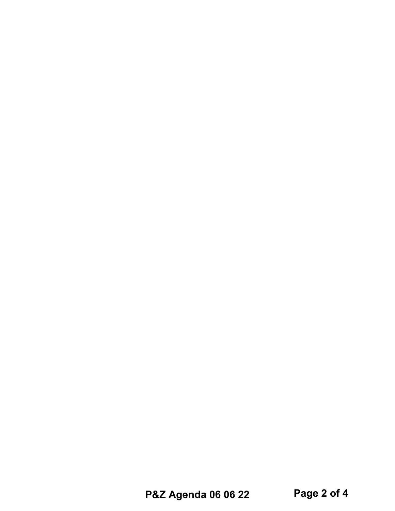**P&Z Agenda 06 06 22 Page 2 of 4**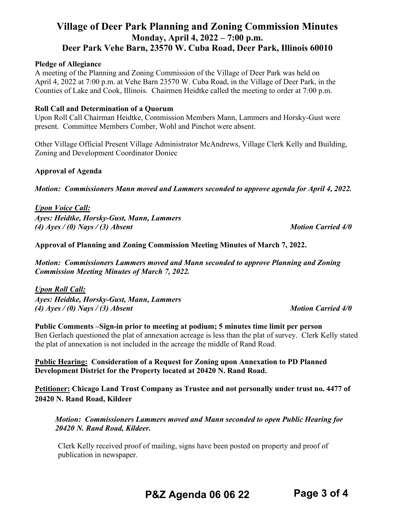# **Village of Deer Park Planning and Zoning Commission Minutes Monday, April 4, 2022 – 7:00 p.m. Deer Park Vehe Barn, 23570 W. Cuba Road, Deer Park, Illinois 60010**

#### **Pledge of Allegiance**

A meeting of the Planning and Zoning Commission of the Village of Deer Park was held on April 4, 2022 at 7:00 p.m. at Vehe Barn 23570 W. Cuba Road, in the Village of Deer Park, in the Counties of Lake and Cook, Illinois. Chairmen Heidtke called the meeting to order at 7:00 p.m.

### **Roll Call and Determination of a Quorum**

Upon Roll Call Chairman Heidtke, Commission Members Mann, Lammers and Horsky-Gust were present. Committee Members Comber, Wohl and Pinchot were absent.

Other Village Official Present Village Administrator McAndrews, Village Clerk Kelly and Building, Zoning and Development Coordinator Doniec

### **Approval of Agenda**

*Motion: Commissioners Mann moved and Lammers seconded to approve agenda for April 4, 2022.*

*Upon Voice Call: Ayes: Heidtke, Horsky-Gust, Mann, Lammers (4) Ayes / (0) Nays / (3) Absent Motion Carried 4/0*

**Approval of Planning and Zoning Commission Meeting Minutes of March 7, 2022.** 

*Motion: Commissioners Lammers moved and Mann seconded to approve Planning and Zoning Commission Meeting Minutes of March 7, 2022.*

*Upon Roll Call: Ayes: Heidtke, Horsky-Gust, Mann, Lammers (4) Ayes / (0) Nays / (3) Absent Motion Carried 4/0*

**Public Comments –Sign-in prior to meeting at podium; 5 minutes time limit per person** Ben Gerlach questioned the plat of annexation acreage is less than the plat of survey. Clerk Kelly stated the plat of annexation is not included in the acreage the middle of Rand Road.

**Public Hearing: Consideration of a Request for Zoning upon Annexation to PD Planned Development District for the Property located at 20420 N. Rand Road.** 

**Petitioner: Chicago Land Trust Company as Trustee and not personally under trust no. 4477 of 20420 N. Rand Road, Kildeer**

*Motion: Commissioners Lammers moved and Mann seconded to open Public Hearing for 20420 N. Rand Road, Kildeer.*

Clerk Kelly received proof of mailing, signs have been posted on property and proof of publication in newspaper.